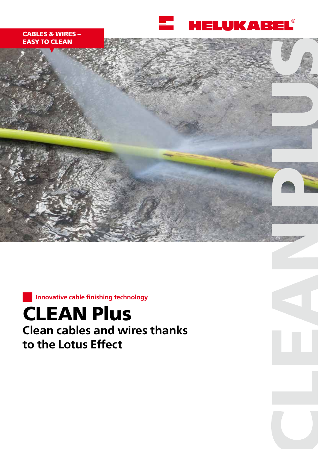

# **CABLES & WIRES – EASY TO CLEAN**



**Innovative cable finishing technology**

# **CLEAN Plus Clean cables and wires thanks to the Lotus Effect**